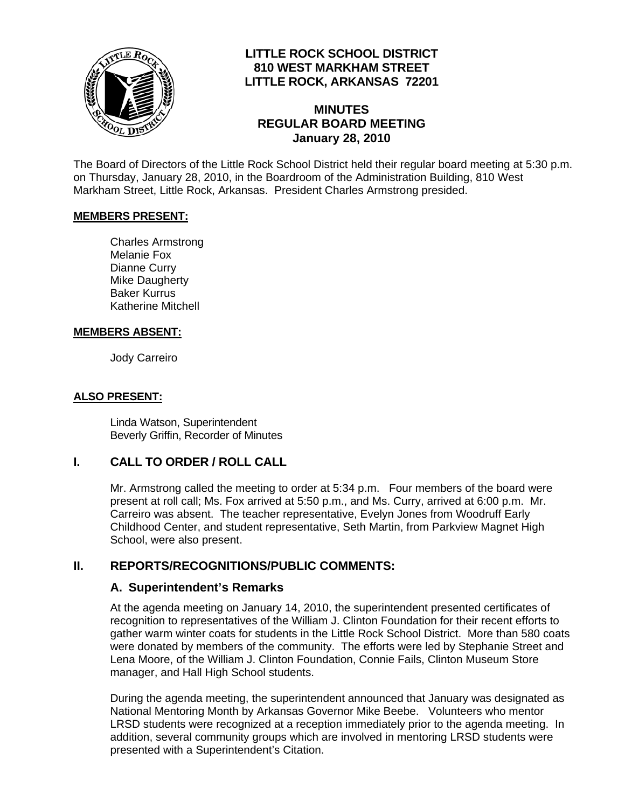

## **LITTLE ROCK SCHOOL DISTRICT 810 WEST MARKHAM STREET LITTLE ROCK, ARKANSAS 72201**

## **MINUTES REGULAR BOARD MEETING January 28, 2010**

The Board of Directors of the Little Rock School District held their regular board meeting at 5:30 p.m. on Thursday, January 28, 2010, in the Boardroom of the Administration Building, 810 West Markham Street, Little Rock, Arkansas. President Charles Armstrong presided.

#### **MEMBERS PRESENT:**

Charles Armstrong Melanie Fox Dianne Curry Mike Daugherty Baker Kurrus Katherine Mitchell

#### **MEMBERS ABSENT:**

Jody Carreiro

#### **ALSO PRESENT:**

 Linda Watson, Superintendent Beverly Griffin, Recorder of Minutes

## **I. CALL TO ORDER / ROLL CALL**

Mr. Armstrong called the meeting to order at 5:34 p.m. Four members of the board were present at roll call; Ms. Fox arrived at 5:50 p.m., and Ms. Curry, arrived at 6:00 p.m. Mr. Carreiro was absent. The teacher representative, Evelyn Jones from Woodruff Early Childhood Center, and student representative, Seth Martin, from Parkview Magnet High School, were also present.

## **II. REPORTS/RECOGNITIONS/PUBLIC COMMENTS:**

#### **A. Superintendent's Remarks**

At the agenda meeting on January 14, 2010, the superintendent presented certificates of recognition to representatives of the William J. Clinton Foundation for their recent efforts to gather warm winter coats for students in the Little Rock School District. More than 580 coats were donated by members of the community. The efforts were led by Stephanie Street and Lena Moore, of the William J. Clinton Foundation, Connie Fails, Clinton Museum Store manager, and Hall High School students.

During the agenda meeting, the superintendent announced that January was designated as National Mentoring Month by Arkansas Governor Mike Beebe. Volunteers who mentor LRSD students were recognized at a reception immediately prior to the agenda meeting. In addition, several community groups which are involved in mentoring LRSD students were presented with a Superintendent's Citation.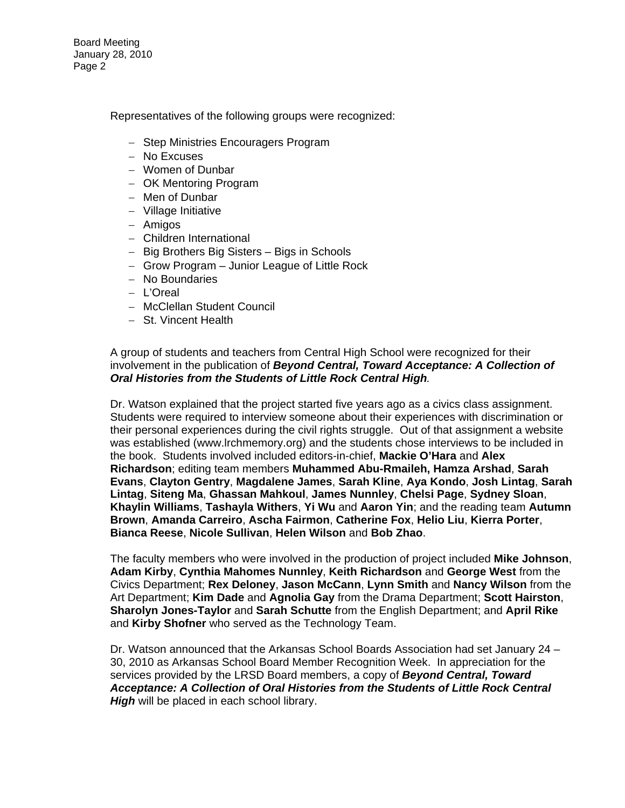Board Meeting January 28, 2010 Page 2

Representatives of the following groups were recognized:

- − Step Ministries Encouragers Program
- − No Excuses
- − Women of Dunbar
- − OK Mentoring Program
- − Men of Dunbar
- − Village Initiative
- − Amigos
- − Children International
- − Big Brothers Big Sisters Bigs in Schools
- − Grow Program Junior League of Little Rock
- − No Boundaries
- − L'Oreal
- − McClellan Student Council
- − St. Vincent Health

#### A group of students and teachers from Central High School were recognized for their involvement in the publication of *Beyond Central, Toward Acceptance: A Collection of Oral Histories from the Students of Little Rock Central High.*

Dr. Watson explained that the project started five years ago as a civics class assignment. Students were required to interview someone about their experiences with discrimination or their personal experiences during the civil rights struggle. Out of that assignment a website was established [\(www.lrchmemory.org](http://www.lrchmemory.org/)) and the students chose interviews to be included in the book. Students involved included editors-in-chief, **Mackie O'Hara** and **Alex Richardson**; editing team members **Muhammed Abu-Rmaileh, Hamza Arshad**, **Sarah Evans**, **Clayton Gentry**, **Magdalene James**, **Sarah Kline**, **Aya Kondo**, **Josh Lintag**, **Sarah Lintag**, **Siteng Ma**, **Ghassan Mahkoul**, **James Nunnley**, **Chelsi Page**, **Sydney Sloan**, **Khaylin Williams**, **Tashayla Withers**, **Yi Wu** and **Aaron Yin**; and the reading team **Autumn Brown**, **Amanda Carreiro**, **Ascha Fairmon**, **Catherine Fox**, **Helio Liu**, **Kierra Porter**, **Bianca Reese**, **Nicole Sullivan**, **Helen Wilson** and **Bob Zhao**.

The faculty members who were involved in the production of project included **Mike Johnson**, **Adam Kirby**, **Cynthia Mahomes Nunnley**, **Keith Richardson** and **George West** from the Civics Department; **Rex Deloney**, **Jason McCann**, **Lynn Smith** and **Nancy Wilson** from the Art Department; **Kim Dade** and **Agnolia Gay** from the Drama Department; **Scott Hairston**, **Sharolyn Jones-Taylor** and **Sarah Schutte** from the English Department; and **April Rike** and **Kirby Shofner** who served as the Technology Team.

Dr. Watson announced that the Arkansas School Boards Association had set January 24 – 30, 2010 as Arkansas School Board Member Recognition Week. In appreciation for the services provided by the LRSD Board members, a copy of *Beyond Central, Toward Acceptance: A Collection of Oral Histories from the Students of Little Rock Central High* will be placed in each school library.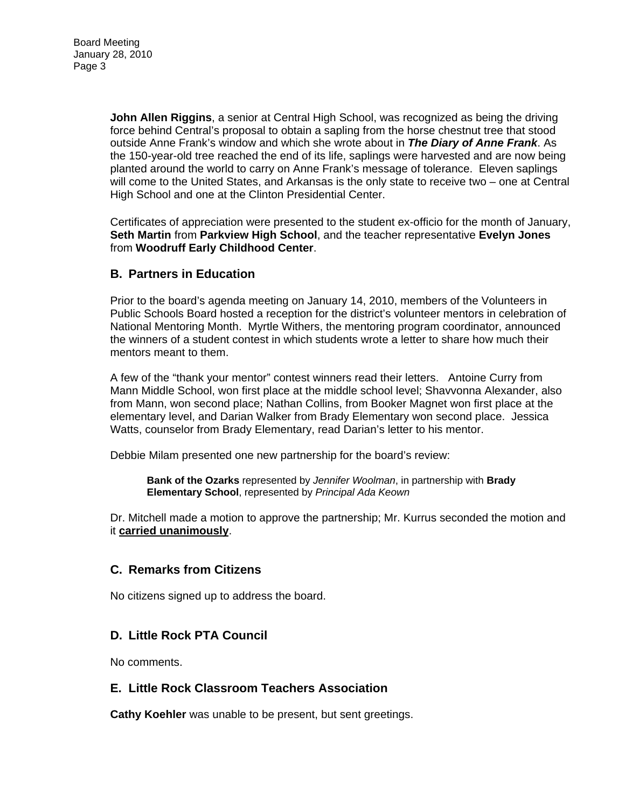**John Allen Riggins**, a senior at Central High School, was recognized as being the driving force behind Central's proposal to obtain a sapling from the horse chestnut tree that stood outside Anne Frank's window and which she wrote about in *The Diary of Anne Frank*. As the 150-year-old tree reached the end of its life, saplings were harvested and are now being planted around the world to carry on Anne Frank's message of tolerance. Eleven saplings will come to the United States, and Arkansas is the only state to receive two – one at Central High School and one at the Clinton Presidential Center.

Certificates of appreciation were presented to the student ex-officio for the month of January, **Seth Martin** from **Parkview High School**, and the teacher representative **Evelyn Jones** from **Woodruff Early Childhood Center**.

## **B. Partners in Education**

Prior to the board's agenda meeting on January 14, 2010, members of the Volunteers in Public Schools Board hosted a reception for the district's volunteer mentors in celebration of National Mentoring Month. Myrtle Withers, the mentoring program coordinator, announced the winners of a student contest in which students wrote a letter to share how much their mentors meant to them.

A few of the "thank your mentor" contest winners read their letters. Antoine Curry from Mann Middle School, won first place at the middle school level; Shavvonna Alexander, also from Mann, won second place; Nathan Collins, from Booker Magnet won first place at the elementary level, and Darian Walker from Brady Elementary won second place. Jessica Watts, counselor from Brady Elementary, read Darian's letter to his mentor.

Debbie Milam presented one new partnership for the board's review:

**Bank of the Ozarks** represented by *Jennifer Woolman*, in partnership with **Brady Elementary School**, represented by *Principal Ada Keown* 

Dr. Mitchell made a motion to approve the partnership; Mr. Kurrus seconded the motion and it **carried unanimously**.

#### **C. Remarks from Citizens**

No citizens signed up to address the board.

## **D. Little Rock PTA Council**

No comments.

#### **E. Little Rock Classroom Teachers Association**

**Cathy Koehler** was unable to be present, but sent greetings.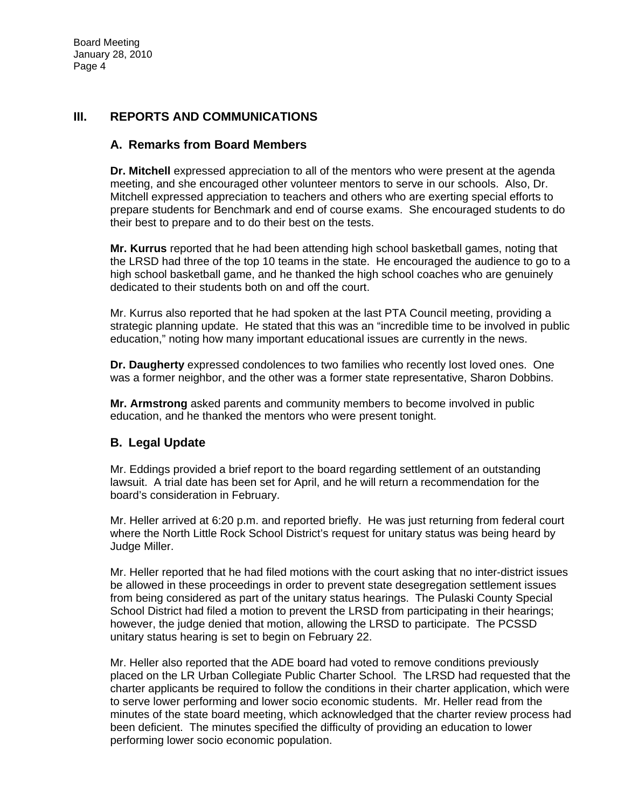## **III. REPORTS AND COMMUNICATIONS**

#### **A. Remarks from Board Members**

**Dr. Mitchell** expressed appreciation to all of the mentors who were present at the agenda meeting, and she encouraged other volunteer mentors to serve in our schools. Also, Dr. Mitchell expressed appreciation to teachers and others who are exerting special efforts to prepare students for Benchmark and end of course exams. She encouraged students to do their best to prepare and to do their best on the tests.

**Mr. Kurrus** reported that he had been attending high school basketball games, noting that the LRSD had three of the top 10 teams in the state. He encouraged the audience to go to a high school basketball game, and he thanked the high school coaches who are genuinely dedicated to their students both on and off the court.

Mr. Kurrus also reported that he had spoken at the last PTA Council meeting, providing a strategic planning update. He stated that this was an "incredible time to be involved in public education," noting how many important educational issues are currently in the news.

**Dr. Daugherty** expressed condolences to two families who recently lost loved ones. One was a former neighbor, and the other was a former state representative, Sharon Dobbins.

**Mr. Armstrong** asked parents and community members to become involved in public education, and he thanked the mentors who were present tonight.

## **B. Legal Update**

Mr. Eddings provided a brief report to the board regarding settlement of an outstanding lawsuit. A trial date has been set for April, and he will return a recommendation for the board's consideration in February.

Mr. Heller arrived at 6:20 p.m. and reported briefly. He was just returning from federal court where the North Little Rock School District's request for unitary status was being heard by Judge Miller.

Mr. Heller reported that he had filed motions with the court asking that no inter-district issues be allowed in these proceedings in order to prevent state desegregation settlement issues from being considered as part of the unitary status hearings. The Pulaski County Special School District had filed a motion to prevent the LRSD from participating in their hearings; however, the judge denied that motion, allowing the LRSD to participate. The PCSSD unitary status hearing is set to begin on February 22.

Mr. Heller also reported that the ADE board had voted to remove conditions previously placed on the LR Urban Collegiate Public Charter School. The LRSD had requested that the charter applicants be required to follow the conditions in their charter application, which were to serve lower performing and lower socio economic students. Mr. Heller read from the minutes of the state board meeting, which acknowledged that the charter review process had been deficient. The minutes specified the difficulty of providing an education to lower performing lower socio economic population.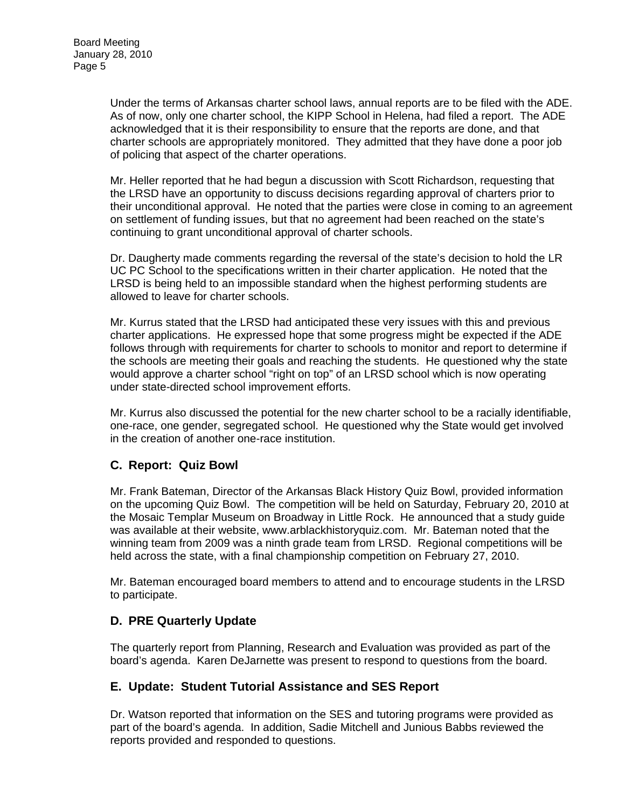Under the terms of Arkansas charter school laws, annual reports are to be filed with the ADE. As of now, only one charter school, the KIPP School in Helena, had filed a report. The ADE acknowledged that it is their responsibility to ensure that the reports are done, and that charter schools are appropriately monitored. They admitted that they have done a poor job of policing that aspect of the charter operations.

Mr. Heller reported that he had begun a discussion with Scott Richardson, requesting that the LRSD have an opportunity to discuss decisions regarding approval of charters prior to their unconditional approval. He noted that the parties were close in coming to an agreement on settlement of funding issues, but that no agreement had been reached on the state's continuing to grant unconditional approval of charter schools.

Dr. Daugherty made comments regarding the reversal of the state's decision to hold the LR UC PC School to the specifications written in their charter application. He noted that the LRSD is being held to an impossible standard when the highest performing students are allowed to leave for charter schools.

Mr. Kurrus stated that the LRSD had anticipated these very issues with this and previous charter applications. He expressed hope that some progress might be expected if the ADE follows through with requirements for charter to schools to monitor and report to determine if the schools are meeting their goals and reaching the students. He questioned why the state would approve a charter school "right on top" of an LRSD school which is now operating under state-directed school improvement efforts.

Mr. Kurrus also discussed the potential for the new charter school to be a racially identifiable, one-race, one gender, segregated school. He questioned why the State would get involved in the creation of another one-race institution.

# **C. Report: Quiz Bowl**

Mr. Frank Bateman, Director of the Arkansas Black History Quiz Bowl, provided information on the upcoming Quiz Bowl. The competition will be held on Saturday, February 20, 2010 at the Mosaic Templar Museum on Broadway in Little Rock. He announced that a study guide was available at their website, [www.arblackhistoryquiz.com.](http://www.arblackhistoryquiz.com/) Mr. Bateman noted that the winning team from 2009 was a ninth grade team from LRSD. Regional competitions will be held across the state, with a final championship competition on February 27, 2010.

Mr. Bateman encouraged board members to attend and to encourage students in the LRSD to participate.

# **D. PRE Quarterly Update**

The quarterly report from Planning, Research and Evaluation was provided as part of the board's agenda. Karen DeJarnette was present to respond to questions from the board.

# **E. Update: Student Tutorial Assistance and SES Report**

Dr. Watson reported that information on the SES and tutoring programs were provided as part of the board's agenda. In addition, Sadie Mitchell and Junious Babbs reviewed the reports provided and responded to questions.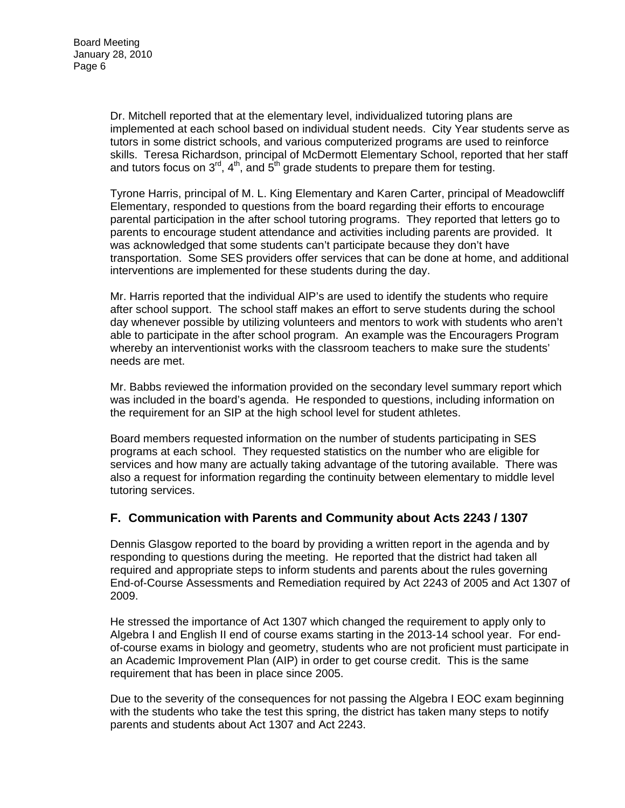Dr. Mitchell reported that at the elementary level, individualized tutoring plans are implemented at each school based on individual student needs. City Year students serve as tutors in some district schools, and various computerized programs are used to reinforce skills. Teresa Richardson, principal of McDermott Elementary School, reported that her staff and tutors focus on  $3<sup>rd</sup>$ , 4<sup>th</sup>, and  $5<sup>th</sup>$  grade students to prepare them for testing.

Tyrone Harris, principal of M. L. King Elementary and Karen Carter, principal of Meadowcliff Elementary, responded to questions from the board regarding their efforts to encourage parental participation in the after school tutoring programs. They reported that letters go to parents to encourage student attendance and activities including parents are provided. It was acknowledged that some students can't participate because they don't have transportation. Some SES providers offer services that can be done at home, and additional interventions are implemented for these students during the day.

Mr. Harris reported that the individual AIP's are used to identify the students who require after school support. The school staff makes an effort to serve students during the school day whenever possible by utilizing volunteers and mentors to work with students who aren't able to participate in the after school program. An example was the Encouragers Program whereby an interventionist works with the classroom teachers to make sure the students' needs are met.

Mr. Babbs reviewed the information provided on the secondary level summary report which was included in the board's agenda. He responded to questions, including information on the requirement for an SIP at the high school level for student athletes.

Board members requested information on the number of students participating in SES programs at each school. They requested statistics on the number who are eligible for services and how many are actually taking advantage of the tutoring available. There was also a request for information regarding the continuity between elementary to middle level tutoring services.

## **F. Communication with Parents and Community about Acts 2243 / 1307**

Dennis Glasgow reported to the board by providing a written report in the agenda and by responding to questions during the meeting. He reported that the district had taken all required and appropriate steps to inform students and parents about the rules governing End-of-Course Assessments and Remediation required by Act 2243 of 2005 and Act 1307 of 2009.

He stressed the importance of Act 1307 which changed the requirement to apply only to Algebra I and English II end of course exams starting in the 2013-14 school year. For endof-course exams in biology and geometry, students who are not proficient must participate in an Academic Improvement Plan (AIP) in order to get course credit. This is the same requirement that has been in place since 2005.

Due to the severity of the consequences for not passing the Algebra I EOC exam beginning with the students who take the test this spring, the district has taken many steps to notify parents and students about Act 1307 and Act 2243.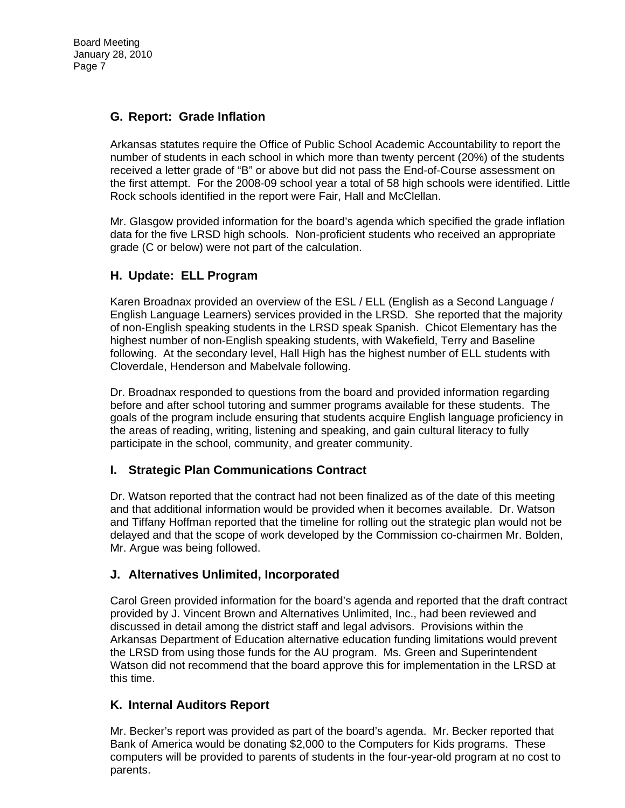## **G. Report: Grade Inflation**

Arkansas statutes require the Office of Public School Academic Accountability to report the number of students in each school in which more than twenty percent (20%) of the students received a letter grade of "B" or above but did not pass the End-of-Course assessment on the first attempt. For the 2008-09 school year a total of 58 high schools were identified. Little Rock schools identified in the report were Fair, Hall and McClellan.

Mr. Glasgow provided information for the board's agenda which specified the grade inflation data for the five LRSD high schools. Non-proficient students who received an appropriate grade (C or below) were not part of the calculation.

## **H. Update: ELL Program**

Karen Broadnax provided an overview of the ESL / ELL (English as a Second Language / English Language Learners) services provided in the LRSD. She reported that the majority of non-English speaking students in the LRSD speak Spanish. Chicot Elementary has the highest number of non-English speaking students, with Wakefield, Terry and Baseline following. At the secondary level, Hall High has the highest number of ELL students with Cloverdale, Henderson and Mabelvale following.

Dr. Broadnax responded to questions from the board and provided information regarding before and after school tutoring and summer programs available for these students. The goals of the program include ensuring that students acquire English language proficiency in the areas of reading, writing, listening and speaking, and gain cultural literacy to fully participate in the school, community, and greater community.

## **I. Strategic Plan Communications Contract**

Dr. Watson reported that the contract had not been finalized as of the date of this meeting and that additional information would be provided when it becomes available. Dr. Watson and Tiffany Hoffman reported that the timeline for rolling out the strategic plan would not be delayed and that the scope of work developed by the Commission co-chairmen Mr. Bolden, Mr. Argue was being followed.

## **J. Alternatives Unlimited, Incorporated**

Carol Green provided information for the board's agenda and reported that the draft contract provided by J. Vincent Brown and Alternatives Unlimited, Inc., had been reviewed and discussed in detail among the district staff and legal advisors. Provisions within the Arkansas Department of Education alternative education funding limitations would prevent the LRSD from using those funds for the AU program. Ms. Green and Superintendent Watson did not recommend that the board approve this for implementation in the LRSD at this time.

## **K. Internal Auditors Report**

Mr. Becker's report was provided as part of the board's agenda. Mr. Becker reported that Bank of America would be donating \$2,000 to the Computers for Kids programs. These computers will be provided to parents of students in the four-year-old program at no cost to parents.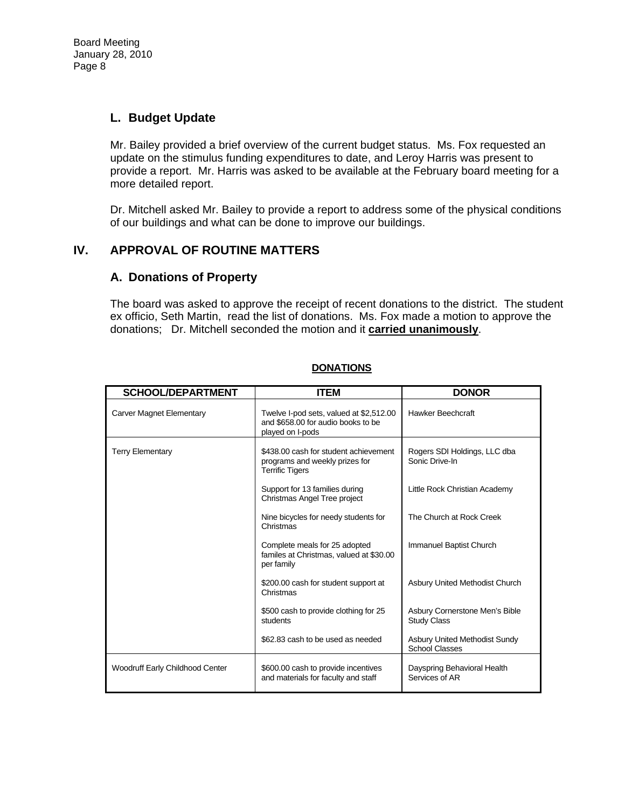## **L. Budget Update**

Mr. Bailey provided a brief overview of the current budget status. Ms. Fox requested an update on the stimulus funding expenditures to date, and Leroy Harris was present to provide a report. Mr. Harris was asked to be available at the February board meeting for a more detailed report.

Dr. Mitchell asked Mr. Bailey to provide a report to address some of the physical conditions of our buildings and what can be done to improve our buildings.

## **IV. APPROVAL OF ROUTINE MATTERS**

## **A. Donations of Property**

The board was asked to approve the receipt of recent donations to the district. The student ex officio, Seth Martin, read the list of donations. Ms. Fox made a motion to approve the donations; Dr. Mitchell seconded the motion and it **carried unanimously**.

| <b>SCHOOL/DEPARTMENT</b>        | <b>ITEM</b>                                                                                       | <b>DONOR</b>                                                  |
|---------------------------------|---------------------------------------------------------------------------------------------------|---------------------------------------------------------------|
| <b>Carver Magnet Elementary</b> | Twelve I-pod sets, valued at \$2,512.00<br>and \$658.00 for audio books to be<br>played on I-pods | <b>Hawker Beechcraft</b>                                      |
| <b>Terry Elementary</b>         | \$438.00 cash for student achievement<br>programs and weekly prizes for<br><b>Terrific Tigers</b> | Rogers SDI Holdings, LLC dba<br>Sonic Drive-In                |
|                                 | Support for 13 families during<br>Christmas Angel Tree project                                    | Little Rock Christian Academy                                 |
|                                 | Nine bicycles for needy students for<br>Christmas                                                 | The Church at Rock Creek                                      |
|                                 | Complete meals for 25 adopted<br>familes at Christmas, valued at \$30.00<br>per family            | Immanuel Baptist Church                                       |
|                                 | \$200.00 cash for student support at<br>Christmas                                                 | <b>Asbury United Methodist Church</b>                         |
|                                 | \$500 cash to provide clothing for 25<br>students                                                 | Asbury Cornerstone Men's Bible<br><b>Study Class</b>          |
|                                 | \$62.83 cash to be used as needed                                                                 | <b>Asbury United Methodist Sundy</b><br><b>School Classes</b> |
| Woodruff Early Childhood Center | \$600.00 cash to provide incentives<br>and materials for faculty and staff                        | Dayspring Behavioral Health<br>Services of AR                 |

## **DONATIONS**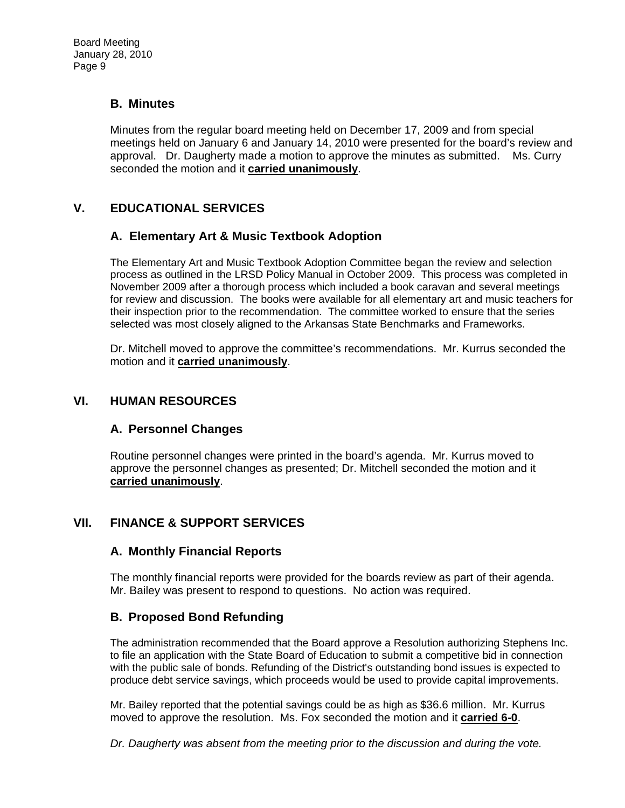## **B. Minutes**

Minutes from the regular board meeting held on December 17, 2009 and from special meetings held on January 6 and January 14, 2010 were presented for the board's review and approval. Dr. Daugherty made a motion to approve the minutes as submitted. Ms. Curry seconded the motion and it **carried unanimously**.

# **V. EDUCATIONAL SERVICES**

## **A. Elementary Art & Music Textbook Adoption**

The Elementary Art and Music Textbook Adoption Committee began the review and selection process as outlined in the LRSD Policy Manual in October 2009. This process was completed in November 2009 after a thorough process which included a book caravan and several meetings for review and discussion. The books were available for all elementary art and music teachers for their inspection prior to the recommendation. The committee worked to ensure that the series selected was most closely aligned to the Arkansas State Benchmarks and Frameworks.

Dr. Mitchell moved to approve the committee's recommendations. Mr. Kurrus seconded the motion and it **carried unanimously**.

#### **VI. HUMAN RESOURCES**

## **A. Personnel Changes**

Routine personnel changes were printed in the board's agenda. Mr. Kurrus moved to approve the personnel changes as presented; Dr. Mitchell seconded the motion and it **carried unanimously**.

# **VII. FINANCE & SUPPORT SERVICES**

## **A. Monthly Financial Reports**

The monthly financial reports were provided for the boards review as part of their agenda. Mr. Bailey was present to respond to questions. No action was required.

# **B. Proposed Bond Refunding**

The administration recommended that the Board approve a Resolution authorizing Stephens Inc. to file an application with the State Board of Education to submit a competitive bid in connection with the public sale of bonds. Refunding of the District's outstanding bond issues is expected to produce debt service savings, which proceeds would be used to provide capital improvements.

Mr. Bailey reported that the potential savings could be as high as \$36.6 million. Mr. Kurrus moved to approve the resolution. Ms. Fox seconded the motion and it **carried 6-0**.

*Dr. Daugherty was absent from the meeting prior to the discussion and during the vote.*